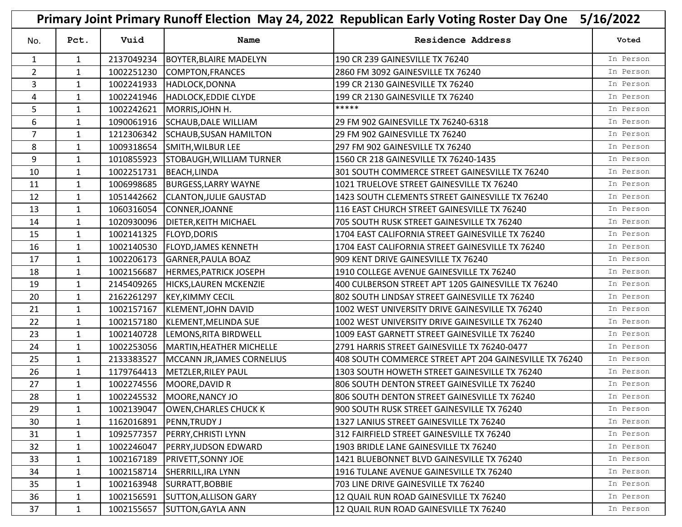|                | Primary Joint Primary Runoff Election May 24, 2022 Republican Early Voting Roster Day One<br>5/16/2022 |            |                                  |                                                        |           |  |
|----------------|--------------------------------------------------------------------------------------------------------|------------|----------------------------------|--------------------------------------------------------|-----------|--|
| No.            | Pct.                                                                                                   | Vuid       | Name                             | <b>Residence Address</b>                               | Voted     |  |
| 1              | 1                                                                                                      | 2137049234 | <b>BOYTER, BLAIRE MADELYN</b>    | 190 CR 239 GAINESVILLE TX 76240                        | In Person |  |
| $\overline{2}$ | 1                                                                                                      | 1002251230 | COMPTON, FRANCES                 | 2860 FM 3092 GAINESVILLE TX 76240                      | In Person |  |
| 3              | $\mathbf{1}$                                                                                           | 1002241933 | HADLOCK, DONNA                   | 199 CR 2130 GAINESVILLE TX 76240                       | In Person |  |
| 4              | $\mathbf{1}$                                                                                           |            | 1002241946  HADLOCK, EDDIE CLYDE | 199 CR 2130 GAINESVILLE TX 76240                       | In Person |  |
| 5              | $\mathbf{1}$                                                                                           | 1002242621 | MORRIS, JOHN H.                  | *****                                                  | In Person |  |
| 6              | 1                                                                                                      | 1090061916 | SCHAUB, DALE WILLIAM             | 29 FM 902 GAINESVILLE TX 76240-6318                    | In Person |  |
| $\overline{7}$ | 1                                                                                                      | 1212306342 | <b>SCHAUB, SUSAN HAMILTON</b>    | 29 FM 902 GAINESVILLE TX 76240                         | In Person |  |
| 8              | $\mathbf{1}$                                                                                           | 1009318654 | SMITH, WILBUR LEE                | 297 FM 902 GAINESVILLE TX 76240                        | In Person |  |
| 9              | 1                                                                                                      | 1010855923 | <b>STOBAUGH, WILLIAM TURNER</b>  | 1560 CR 218 GAINESVILLE TX 76240-1435                  | In Person |  |
| 10             | $\mathbf{1}$                                                                                           | 1002251731 | <b>BEACH, LINDA</b>              | 301 SOUTH COMMERCE STREET GAINESVILLE TX 76240         | In Person |  |
| 11             | $\mathbf{1}$                                                                                           | 1006998685 | <b>BURGESS, LARRY WAYNE</b>      | 1021 TRUELOVE STREET GAINESVILLE TX 76240              | In Person |  |
| 12             | 1                                                                                                      | 1051442662 | <b>CLANTON, JULIE GAUSTAD</b>    | 1423 SOUTH CLEMENTS STREET GAINESVILLE TX 76240        | In Person |  |
| 13             | 1                                                                                                      | 1060316054 | CONNER, JOANNE                   | 116 EAST CHURCH STREET GAINESVILLE TX 76240            | In Person |  |
| 14             | 1                                                                                                      | 1020930096 | <b>DIETER, KEITH MICHAEL</b>     | 705 SOUTH RUSK STREET GAINESVILLE TX 76240             | In Person |  |
| 15             | $\mathbf{1}$                                                                                           | 1002141325 | <b>FLOYD, DORIS</b>              | 1704 EAST CALIFORNIA STREET GAINESVILLE TX 76240       | In Person |  |
| 16             | 1                                                                                                      | 1002140530 | <b>FLOYD, JAMES KENNETH</b>      | 1704 EAST CALIFORNIA STREET GAINESVILLE TX 76240       | In Person |  |
| 17             | 1                                                                                                      | 1002206173 | <b>GARNER, PAULA BOAZ</b>        | 909 KENT DRIVE GAINESVILLE TX 76240                    | In Person |  |
| 18             | $\mathbf{1}$                                                                                           | 1002156687 | <b>HERMES, PATRICK JOSEPH</b>    | 1910 COLLEGE AVENUE GAINESVILLE TX 76240               | In Person |  |
| 19             | 1                                                                                                      | 2145409265 | <b>HICKS, LAUREN MCKENZIE</b>    | 400 CULBERSON STREET APT 1205 GAINESVILLE TX 76240     | In Person |  |
| 20             | $\mathbf{1}$                                                                                           | 2162261297 | <b>KEY, KIMMY CECIL</b>          | 802 SOUTH LINDSAY STREET GAINESVILLE TX 76240          | In Person |  |
| 21             | 1                                                                                                      | 1002157167 | KLEMENT, JOHN DAVID              | 1002 WEST UNIVERSITY DRIVE GAINESVILLE TX 76240        | In Person |  |
| 22             | $\mathbf{1}$                                                                                           | 1002157180 | KLEMENT, MELINDA SUE             | 1002 WEST UNIVERSITY DRIVE GAINESVILLE TX 76240        | In Person |  |
| 23             | $\mathbf{1}$                                                                                           | 1002140728 | LEMONS, RITA BIRDWELL            | 1009 EAST GARNETT STREET GAINESVILLE TX 76240          | In Person |  |
| 24             | 1                                                                                                      | 1002253056 | MARTIN, HEATHER MICHELLE         | 2791 HARRIS STREET GAINESVILLE TX 76240-0477           | In Person |  |
| 25             | $\mathbf{1}$                                                                                           | 2133383527 | MCCANN JR, JAMES CORNELIUS       | 408 SOUTH COMMERCE STREET APT 204 GAINESVILLE TX 76240 | In Person |  |
| 26             | $\mathbf{1}$                                                                                           | 1179764413 | METZLER, RILEY PAUL              | 1303 SOUTH HOWETH STREET GAINESVILLE TX 76240          | In Person |  |
| 27             | $\mathbf{1}$                                                                                           |            | 1002274556 MOORE, DAVID R        | 806 SOUTH DENTON STREET GAINESVILLE TX 76240           | In Person |  |
| 28             | $\mathbf{1}$                                                                                           |            | 1002245532 MOORE, NANCY JO       | 806 SOUTH DENTON STREET GAINESVILLE TX 76240           | In Person |  |
| 29             | $\mathbf{1}$                                                                                           | 1002139047 | <b>OWEN, CHARLES CHUCK K</b>     | 900 SOUTH RUSK STREET GAINESVILLE TX 76240             | In Person |  |
| 30             | $\mathbf{1}$                                                                                           | 1162016891 | <b>PENN, TRUDY J</b>             | 1327 LANIUS STREET GAINESVILLE TX 76240                | In Person |  |
| 31             | 1                                                                                                      | 1092577357 | PERRY, CHRISTI LYNN              | 312 FAIRFIELD STREET GAINESVILLE TX 76240              | In Person |  |
| 32             | $\mathbf{1}$                                                                                           | 1002246047 | <b>PERRY, JUDSON EDWARD</b>      | 1903 BRIDLE LANE GAINESVILLE TX 76240                  | In Person |  |
| 33             | 1                                                                                                      | 1002167189 | <b>PRIVETT, SONNY JOE</b>        | 1421 BLUEBONNET BLVD GAINESVILLE TX 76240              | In Person |  |
| 34             | $\mathbf{1}$                                                                                           | 1002158714 | SHERRILL, IRA LYNN               | 1916 TULANE AVENUE GAINESVILLE TX 76240                | In Person |  |
| 35             | $\mathbf{1}$                                                                                           | 1002163948 | SURRATT, BOBBIE                  | 703 LINE DRIVE GAINESVILLE TX 76240                    | In Person |  |
| 36             | $\mathbf{1}$                                                                                           | 1002156591 | <b>SUTTON, ALLISON GARY</b>      | 12 QUAIL RUN ROAD GAINESVILLE TX 76240                 | In Person |  |
| 37             | $\mathbf{1}$                                                                                           |            | 1002155657 SUTTON, GAYLA ANN     | 12 QUAIL RUN ROAD GAINESVILLE TX 76240                 | In Person |  |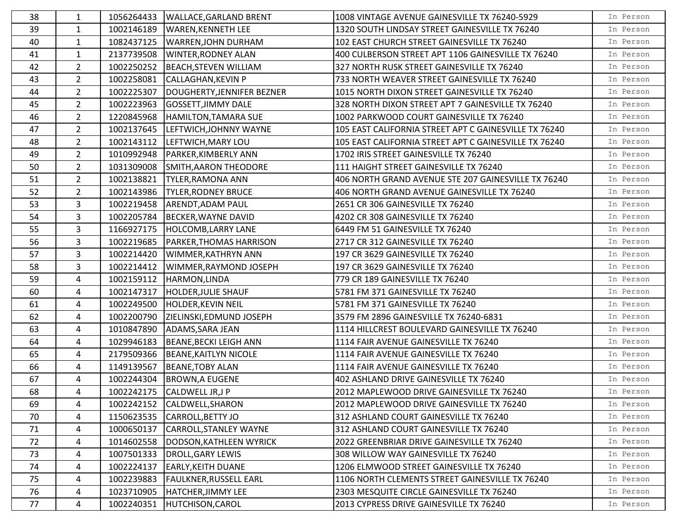| 38 | 1              | 1056264433 | <b>WALLACE, GARLAND BRENT</b>      | 1008 VINTAGE AVENUE GAINESVILLE TX 76240-5929         | In Person |
|----|----------------|------------|------------------------------------|-------------------------------------------------------|-----------|
| 39 | $\mathbf{1}$   | 1002146189 | <b>WAREN, KENNETH LEE</b>          | 1320 SOUTH LINDSAY STREET GAINESVILLE TX 76240        | In Person |
| 40 | $\mathbf{1}$   | 1082437125 | WARREN, JOHN DURHAM                | 102 EAST CHURCH STREET GAINESVILLE TX 76240           | In Person |
| 41 | $\mathbf{1}$   | 2137739508 | <b>WINTER, RODNEY ALAN</b>         | 400 CULBERSON STREET APT 1106 GAINESVILLE TX 76240    | In Person |
| 42 | $\overline{2}$ | 1002250252 | <b>BEACH, STEVEN WILLIAM</b>       | 327 NORTH RUSK STREET GAINESVILLE TX 76240            | In Person |
| 43 | $2^{\circ}$    | 1002258081 | <b>CALLAGHAN, KEVIN P</b>          | 733 NORTH WEAVER STREET GAINESVILLE TX 76240          | In Person |
| 44 | 2 <sup>1</sup> | 1002225307 | DOUGHERTY, JENNIFER BEZNER         | 1015 NORTH DIXON STREET GAINESVILLE TX 76240          | In Person |
| 45 | $\overline{2}$ | 1002223963 | <b>GOSSETT, JIMMY DALE</b>         | 328 NORTH DIXON STREET APT 7 GAINESVILLE TX 76240     | In Person |
| 46 | $\overline{2}$ | 1220845968 | HAMILTON, TAMARA SUE               | 1002 PARKWOOD COURT GAINESVILLE TX 76240              | In Person |
| 47 | $\overline{2}$ |            | 1002137645  LEFTWICH, JOHNNY WAYNE | 105 EAST CALIFORNIA STREET APT C GAINESVILLE TX 76240 | In Person |
| 48 | $2^{\circ}$    | 1002143112 | LEFTWICH, MARY LOU                 | 105 EAST CALIFORNIA STREET APT C GAINESVILLE TX 76240 | In Person |
| 49 | $\overline{2}$ | 1010992948 | <b>PARKER, KIMBERLY ANN</b>        | 1702 IRIS STREET GAINESVILLE TX 76240                 | In Person |
| 50 | $\overline{2}$ | 1031309008 | SMITH, AARON THEODORE              | 111 HAIGHT STREET GAINESVILLE TX 76240                | In Person |
| 51 | $\overline{2}$ | 1002138821 | <b>TYLER, RAMONA ANN</b>           | 406 NORTH GRAND AVENUE STE 207 GAINESVILLE TX 76240   | In Person |
| 52 | $2^{\circ}$    | 1002143986 | <b>TYLER, RODNEY BRUCE</b>         | 406 NORTH GRAND AVENUE GAINESVILLE TX 76240           | In Person |
| 53 | $\overline{3}$ | 1002219458 | ARENDT, ADAM PAUL                  | 2651 CR 306 GAINESVILLE TX 76240                      | In Person |
| 54 | 3              | 1002205784 | BECKER, WAYNE DAVID                | 4202 CR 308 GAINESVILLE TX 76240                      | In Person |
| 55 | 3              | 1166927175 | <b>HOLCOMB, LARRY LANE</b>         | 6449 FM 51 GAINESVILLE TX 76240                       | In Person |
| 56 | 3              | 1002219685 | PARKER, THOMAS HARRISON            | 2717 CR 312 GAINESVILLE TX 76240                      | In Person |
| 57 | 3              | 1002214420 | WIMMER, KATHRYN ANN                | 197 CR 3629 GAINESVILLE TX 76240                      | In Person |
| 58 | $\overline{3}$ | 1002214412 | WIMMER, RAYMOND JOSEPH             | 197 CR 3629 GAINESVILLE TX 76240                      | In Person |
| 59 | 4              | 1002159112 | HARMON, LINDA                      | 779 CR 189 GAINESVILLE TX 76240                       | In Person |
| 60 | 4              | 1002147317 | <b>HOLDER, JULIE SHAUF</b>         | 5781 FM 371 GAINESVILLE TX 76240                      | In Person |
| 61 | 4              | 1002249500 | HOLDER, KEVIN NEIL                 | 5781 FM 371 GAINESVILLE TX 76240                      | In Person |
| 62 | 4              | 1002200790 | ZIELINSKI, EDMUND JOSEPH           | 3579 FM 2896 GAINESVILLE TX 76240-6831                | In Person |
| 63 | 4              | 1010847890 | ADAMS, SARA JEAN                   | 1114 HILLCREST BOULEVARD GAINESVILLE TX 76240         | In Person |
| 64 | 4              | 1029946183 | <b>BEANE, BECKI LEIGH ANN</b>      | 1114 FAIR AVENUE GAINESVILLE TX 76240                 | In Person |
| 65 | 4              | 2179509366 | <b>BEANE, KAITLYN NICOLE</b>       | 1114 FAIR AVENUE GAINESVILLE TX 76240                 | In Person |
| 66 | 4              | 1149139567 | <b>BEANE, TOBY ALAN</b>            | 1114 FAIR AVENUE GAINESVILLE TX 76240                 | In Person |
| 67 | 4              | 1002244304 | <b>BROWN, A EUGENE</b>             | 402 ASHLAND DRIVE GAINESVILLE TX 76240                | In Person |
| 68 | 4              |            | 1002242175 CALDWELL JR,J P         | 2012 MAPLEWOOD DRIVE GAINESVILLE TX 76240             | In Person |
| 69 | 4              | 1002242152 | CALDWELL, SHARON                   | 2012 MAPLEWOOD DRIVE GAINESVILLE TX 76240             | In Person |
| 70 | 4              | 1150623535 | CARROLL, BETTY JO                  | 312 ASHLAND COURT GAINESVILLE TX 76240                | In Person |
| 71 | 4              | 1000650137 | <b>CARROLL, STANLEY WAYNE</b>      | 312 ASHLAND COURT GAINESVILLE TX 76240                | In Person |
| 72 | 4              | 1014602558 | DODSON, KATHLEEN WYRICK            | 2022 GREENBRIAR DRIVE GAINESVILLE TX 76240            | In Person |
| 73 | 4              | 1007501333 | DROLL, GARY LEWIS                  | 308 WILLOW WAY GAINESVILLE TX 76240                   | In Person |
| 74 | 4              | 1002224137 | <b>EARLY, KEITH DUANE</b>          | 1206 ELMWOOD STREET GAINESVILLE TX 76240              | In Person |
| 75 | 4              | 1002239883 | <b>FAULKNER, RUSSELL EARL</b>      | 1106 NORTH CLEMENTS STREET GAINESVILLE TX 76240       | In Person |
| 76 | 4              | 1023710905 | HATCHER, JIMMY LEE                 | 2303 MESQUITE CIRCLE GAINESVILLE TX 76240             | In Person |
| 77 | 4              | 1002240351 | HUTCHISON, CAROL                   | 2013 CYPRESS DRIVE GAINESVILLE TX 76240               | In Person |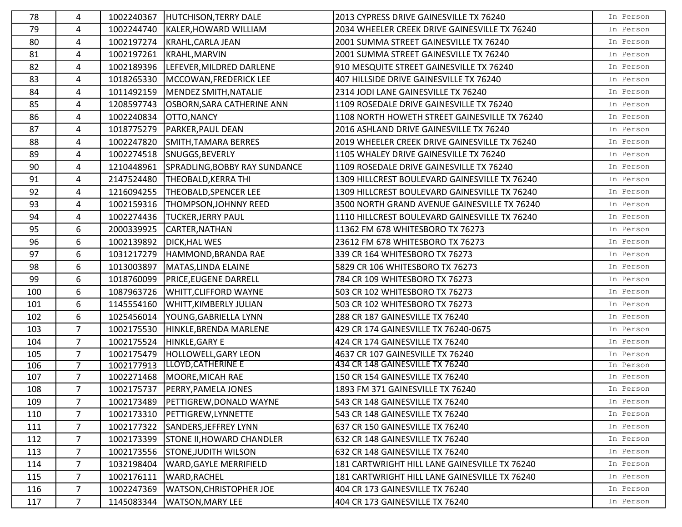| 78  | 4               | 1002240367 | <b>HUTCHISON, TERRY DALE</b>     | 2013 CYPRESS DRIVE GAINESVILLE TX 76240       | In Person |
|-----|-----------------|------------|----------------------------------|-----------------------------------------------|-----------|
| 79  | 4               | 1002244740 | KALER, HOWARD WILLIAM            | 2034 WHEELER CREEK DRIVE GAINESVILLE TX 76240 | In Person |
| 80  | 4               | 1002197274 | KRAHL, CARLA JEAN                | 2001 SUMMA STREET GAINESVILLE TX 76240        | In Person |
| 81  | 4               | 1002197261 | <b>KRAHL, MARVIN</b>             | 2001 SUMMA STREET GAINESVILLE TX 76240        | In Person |
| 82  | 4               | 1002189396 | LEFEVER, MILDRED DARLENE         | 910 MESQUITE STREET GAINESVILLE TX 76240      | In Person |
| 83  | 4               | 1018265330 | MCCOWAN, FREDERICK LEE           | 407 HILLSIDE DRIVE GAINESVILLE TX 76240       | In Person |
| 84  | 4               | 1011492159 | MENDEZ SMITH, NATALIE            | 2314 JODI LANE GAINESVILLE TX 76240           | In Person |
| 85  | 4               | 1208597743 | OSBORN, SARA CATHERINE ANN       | 1109 ROSEDALE DRIVE GAINESVILLE TX 76240      | In Person |
| 86  | 4               | 1002240834 | OTTO, NANCY                      | 1108 NORTH HOWETH STREET GAINESVILLE TX 76240 | In Person |
| 87  | 4               | 1018775279 | <b>PARKER, PAUL DEAN</b>         | 2016 ASHLAND DRIVE GAINESVILLE TX 76240       | In Person |
| 88  | 4               | 1002247820 | SMITH, TAMARA BERRES             | 2019 WHEELER CREEK DRIVE GAINESVILLE TX 76240 | In Person |
| 89  | 4               | 1002274518 | SNUGGS, BEVERLY                  | 1105 WHALEY DRIVE GAINESVILLE TX 76240        | In Person |
| 90  | 4               | 1210448961 | SPRADLING, BOBBY RAY SUNDANCE    | 1109 ROSEDALE DRIVE GAINESVILLE TX 76240      | In Person |
| 91  | 4               | 2147524480 | <b>THEOBALD, KERRA THI</b>       | 1309 HILLCREST BOULEVARD GAINESVILLE TX 76240 | In Person |
| 92  | 4               | 1216094255 | THEOBALD, SPENCER LEE            | 1309 HILLCREST BOULEVARD GAINESVILLE TX 76240 | In Person |
| 93  | 4               | 1002159316 | THOMPSON, JOHNNY REED            | 3500 NORTH GRAND AVENUE GAINESVILLE TX 76240  | In Person |
| 94  | 4               | 1002274436 | <b>TUCKER, JERRY PAUL</b>        | 1110 HILLCREST BOULEVARD GAINESVILLE TX 76240 | In Person |
| 95  | 6               | 2000339925 | CARTER, NATHAN                   | 11362 FM 678 WHITESBORO TX 76273              | In Person |
| 96  | 6               | 1002139892 | <b>DICK, HAL WES</b>             | 23612 FM 678 WHITESBORO TX 76273              | In Person |
| 97  | 6               | 1031217279 | HAMMOND, BRANDA RAE              | 339 CR 164 WHITESBORO TX 76273                | In Person |
| 98  | 6               | 1013003897 | MATAS, LINDA ELAINE              | 5829 CR 106 WHITESBORO TX 76273               | In Person |
| 99  | 6               | 1018760099 | <b>PRICE, EUGENE DARRELL</b>     | 784 CR 109 WHITESBORO TX 76273                | In Person |
| 100 | 6               | 1087963726 | WHITT, CLIFFORD WAYNE            | 503 CR 102 WHITESBORO TX 76273                | In Person |
| 101 | 6               | 1145554160 | <b>WHITT, KIMBERLY JULIAN</b>    | 503 CR 102 WHITESBORO TX 76273                | In Person |
| 102 | 6               | 1025456014 | YOUNG, GABRIELLA LYNN            | 288 CR 187 GAINESVILLE TX 76240               | In Person |
| 103 | $\overline{7}$  | 1002175530 | HINKLE, BRENDA MARLENE           | 429 CR 174 GAINESVILLE TX 76240-0675          | In Person |
| 104 | $\overline{7}$  | 1002175524 | HINKLE, GARY E                   | 424 CR 174 GAINESVILLE TX 76240               | In Person |
| 105 | $\overline{7}$  | 1002175479 | HOLLOWELL, GARY LEON             | 4637 CR 107 GAINESVILLE TX 76240              | In Person |
| 106 | $\overline{7}$  | 1002177913 | LLOYD, CATHERINE E               | 434 CR 148 GAINESVILLE TX 76240               | In Person |
| 107 | $\overline{7}$  |            | 1002271468   MOORE, MICAH RAE    | 150 CR 154 GAINESVILLE TX 76240               | In Person |
| 108 | $\overline{7}$  | 1002175737 | <b>PERRY, PAMELA JONES</b>       | 1893 FM 371 GAINESVILLE TX 76240              | In Person |
| 109 | $\overline{7}$  | 1002173489 | PETTIGREW, DONALD WAYNE          | 543 CR 148 GAINESVILLE TX 76240               | In Person |
| 110 | 7               | 1002173310 | PETTIGREW,LYNNETTE               | 543 CR 148 GAINESVILLE TX 76240               | In Person |
| 111 | $\overline{7}$  | 1002177322 | SANDERS, JEFFREY LYNN            | 637 CR 150 GAINESVILLE TX 76240               | In Person |
| 112 | $7\overline{ }$ | 1002173399 | <b>STONE II, HOWARD CHANDLER</b> | 632 CR 148 GAINESVILLE TX 76240               | In Person |
| 113 | $7\overline{ }$ | 1002173556 | <b>STONE, JUDITH WILSON</b>      | 632 CR 148 GAINESVILLE TX 76240               | In Person |
| 114 | $\overline{7}$  | 1032198404 | <b>WARD, GAYLE MERRIFIELD</b>    | 181 CARTWRIGHT HILL LANE GAINESVILLE TX 76240 | In Person |
| 115 | 7               | 1002176111 | <b>WARD, RACHEL</b>              | 181 CARTWRIGHT HILL LANE GAINESVILLE TX 76240 | In Person |
| 116 | 7               | 1002247369 | <b>WATSON, CHRISTOPHER JOE</b>   | 404 CR 173 GAINESVILLE TX 76240               | In Person |
| 117 | $7\overline{ }$ | 1145083344 | <b>WATSON, MARY LEE</b>          | 404 CR 173 GAINESVILLE TX 76240               | In Person |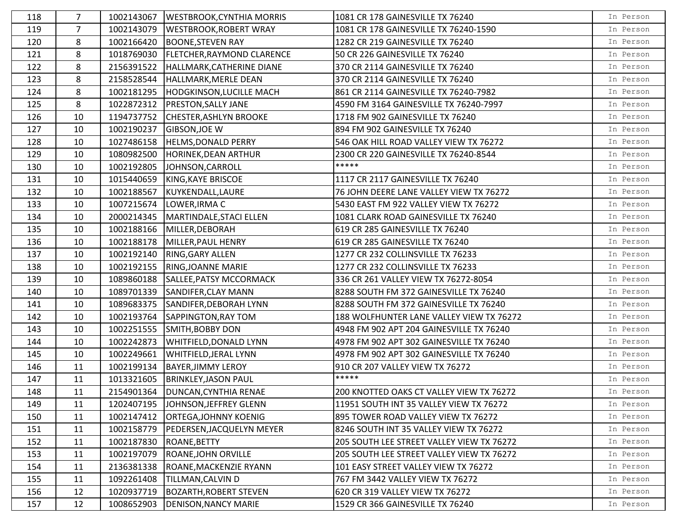| 118 | $\overline{7}$ | 1002143067 | <b>WESTBROOK, CYNTHIA MORRIS</b>   | 1081 CR 178 GAINESVILLE TX 76240          | In Person |
|-----|----------------|------------|------------------------------------|-------------------------------------------|-----------|
| 119 | $\overline{7}$ | 1002143079 | <b>WESTBROOK, ROBERT WRAY</b>      | 1081 CR 178 GAINESVILLE TX 76240-1590     | In Person |
| 120 | 8              | 1002166420 | <b>BOONE, STEVEN RAY</b>           | 1282 CR 219 GAINESVILLE TX 76240          | In Person |
| 121 | 8              | 1018769030 | FLETCHER, RAYMOND CLARENCE         | 50 CR 226 GAINESVILLE TX 76240            | In Person |
| 122 | 8              | 2156391522 | HALLMARK, CATHERINE DIANE          | 370 CR 2114 GAINESVILLE TX 76240          | In Person |
| 123 | 8              | 2158528544 | HALLMARK, MERLE DEAN               | 370 CR 2114 GAINESVILLE TX 76240          | In Person |
| 124 | 8              | 1002181295 | <b>HODGKINSON, LUCILLE MACH</b>    | 861 CR 2114 GAINESVILLE TX 76240-7982     | In Person |
| 125 | 8              | 1022872312 | PRESTON, SALLY JANE                | 4590 FM 3164 GAINESVILLE TX 76240-7997    | In Person |
| 126 | 10             | 1194737752 | <b>CHESTER, ASHLYN BROOKE</b>      | 1718 FM 902 GAINESVILLE TX 76240          | In Person |
| 127 | 10             | 1002190237 | <b>GIBSON, JOE W</b>               | 894 FM 902 GAINESVILLE TX 76240           | In Person |
| 128 | 10             | 1027486158 | <b>HELMS, DONALD PERRY</b>         | 546 OAK HILL ROAD VALLEY VIEW TX 76272    | In Person |
| 129 | 10             | 1080982500 | HORINEK, DEAN ARTHUR               | 2300 CR 220 GAINESVILLE TX 76240-8544     | In Person |
| 130 | 10             | 1002192805 | JOHNSON, CARROLL                   | *****                                     | In Person |
| 131 | 10             | 1015440659 | KING, KAYE BRISCOE                 | 1117 CR 2117 GAINESVILLE TX 76240         | In Person |
| 132 | 10             | 1002188567 | KUYKENDALL, LAURE                  | 76 JOHN DEERE LANE VALLEY VIEW TX 76272   | In Person |
| 133 | 10             | 1007215674 | LOWER, IRMA C                      | 5430 EAST FM 922 VALLEY VIEW TX 76272     | In Person |
| 134 | 10             | 2000214345 | MARTINDALE, STACI ELLEN            | 1081 CLARK ROAD GAINESVILLE TX 76240      | In Person |
| 135 | 10             | 1002188166 | MILLER, DEBORAH                    | 619 CR 285 GAINESVILLE TX 76240           | In Person |
| 136 | 10             | 1002188178 | MILLER, PAUL HENRY                 | 619 CR 285 GAINESVILLE TX 76240           | In Person |
| 137 | 10             | 1002192140 | RING, GARY ALLEN                   | 1277 CR 232 COLLINSVILLE TX 76233         | In Person |
| 138 | 10             | 1002192155 | <b>RING, JOANNE MARIE</b>          | 1277 CR 232 COLLINSVILLE TX 76233         | In Person |
| 139 | 10             | 1089860188 | SALLEE, PATSY MCCORMACK            | 336 CR 261 VALLEY VIEW TX 76272-8054      | In Person |
| 140 | 10             | 1089701339 | SANDIFER, CLAY MANN                | 8288 SOUTH FM 372 GAINESVILLE TX 76240    | In Person |
| 141 | 10             | 1089683375 | SANDIFER, DEBORAH LYNN             | 8288 SOUTH FM 372 GAINESVILLE TX 76240    | In Person |
| 142 | 10             | 1002193764 | SAPPINGTON, RAY TOM                | 188 WOLFHUNTER LANE VALLEY VIEW TX 76272  | In Person |
| 143 | 10             | 1002251555 | SMITH, BOBBY DON                   | 4948 FM 902 APT 204 GAINESVILLE TX 76240  | In Person |
| 144 | 10             | 1002242873 | WHITFIELD, DONALD LYNN             | 4978 FM 902 APT 302 GAINESVILLE TX 76240  | In Person |
| 145 | 10             | 1002249661 | <b>WHITFIELD, JERAL LYNN</b>       | 4978 FM 902 APT 302 GAINESVILLE TX 76240  | In Person |
| 146 | 11             | 1002199134 | <b>BAYER, JIMMY LEROY</b>          | 910 CR 207 VALLEY VIEW TX 76272           | In Person |
| 147 | 11             | 1013321605 | <b>BRINKLEY, JASON PAUL</b>        | *****                                     | In Person |
| 148 | 11             |            | 2154901364   DUNCAN, CYNTHIA RENAE | 200 KNOTTED OAKS CT VALLEY VIEW TX 76272  | In Person |
| 149 | 11             | 1202407195 | JOHNSON, JEFFREY GLENN             | 11951 SOUTH INT 35 VALLEY VIEW TX 76272   | In Person |
| 150 | 11             | 1002147412 | <b>ORTEGA, JOHNNY KOENIG</b>       | 895 TOWER ROAD VALLEY VIEW TX 76272       | In Person |
| 151 | 11             | 1002158779 | PEDERSEN, JACQUELYN MEYER          | 8246 SOUTH INT 35 VALLEY VIEW TX 76272    | In Person |
| 152 | 11             | 1002187830 | ROANE, BETTY                       | 205 SOUTH LEE STREET VALLEY VIEW TX 76272 | In Person |
| 153 | 11             | 1002197079 | ROANE, JOHN ORVILLE                | 205 SOUTH LEE STREET VALLEY VIEW TX 76272 | In Person |
| 154 | 11             | 2136381338 | ROANE, MACKENZIE RYANN             | 101 EASY STREET VALLEY VIEW TX 76272      | In Person |
| 155 | 11             | 1092261408 | TILLMAN, CALVIN D                  | 767 FM 3442 VALLEY VIEW TX 76272          | In Person |
| 156 | 12             | 1020937719 | <b>BOZARTH, ROBERT STEVEN</b>      | 620 CR 319 VALLEY VIEW TX 76272           | In Person |
| 157 | 12             | 1008652903 | <b>DENISON, NANCY MARIE</b>        | 1529 CR 366 GAINESVILLE TX 76240          | In Person |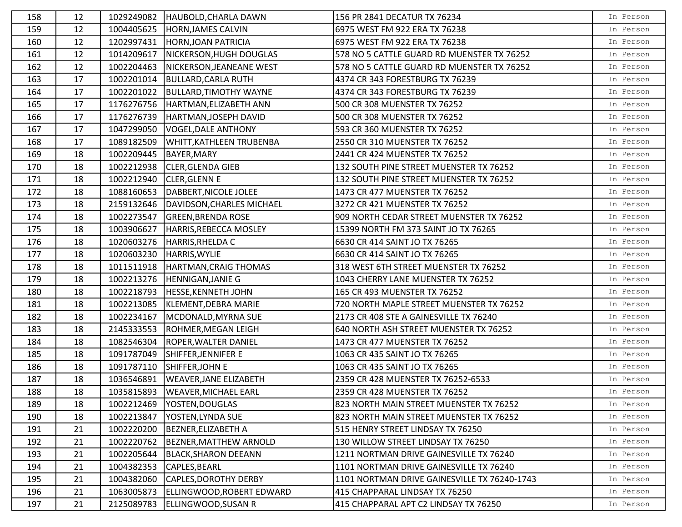| 158 | 12 | 1029249082 | HAUBOLD, CHARLA DAWN              | 156 PR 2841 DECATUR TX 76234                 | In Person |
|-----|----|------------|-----------------------------------|----------------------------------------------|-----------|
| 159 | 12 | 1004405625 | HORN, JAMES CALVIN                | 6975 WEST FM 922 ERA TX 76238                | In Person |
| 160 | 12 | 1202997431 | <b>HORN, JOAN PATRICIA</b>        | 6975 WEST FM 922 ERA TX 76238                | In Person |
| 161 | 12 | 1014209617 | NICKERSON, HUGH DOUGLAS           | 578 NO 5 CATTLE GUARD RD MUENSTER TX 76252   | In Person |
| 162 | 12 | 1002204463 | NICKERSON, JEANEANE WEST          | 578 NO 5 CATTLE GUARD RD MUENSTER TX 76252   | In Person |
| 163 | 17 | 1002201014 | <b>BULLARD, CARLA RUTH</b>        | 4374 CR 343 FORESTBURG TX 76239              | In Person |
| 164 | 17 | 1002201022 | <b>BULLARD, TIMOTHY WAYNE</b>     | 4374 CR 343 FORESTBURG TX 76239              | In Person |
| 165 | 17 | 1176276756 | HARTMAN, ELIZABETH ANN            | 500 CR 308 MUENSTER TX 76252                 | In Person |
| 166 | 17 | 1176276739 | HARTMAN, JOSEPH DAVID             | 500 CR 308 MUENSTER TX 76252                 | In Person |
| 167 | 17 | 1047299050 | <b>VOGEL, DALE ANTHONY</b>        | 593 CR 360 MUENSTER TX 76252                 | In Person |
| 168 | 17 | 1089182509 | WHITT, KATHLEEN TRUBENBA          | 2550 CR 310 MUENSTER TX 76252                | In Person |
| 169 | 18 | 1002209445 | <b>BAYER, MARY</b>                | 2441 CR 424 MUENSTER TX 76252                | In Person |
| 170 | 18 | 1002212938 | <b>CLER, GLENDA GIEB</b>          | 132 SOUTH PINE STREET MUENSTER TX 76252      | In Person |
| 171 | 18 | 1002212940 | <b>CLER, GLENN E</b>              | 132 SOUTH PINE STREET MUENSTER TX 76252      | In Person |
| 172 | 18 | 1088160653 | DABBERT, NICOLE JOLEE             | 1473 CR 477 MUENSTER TX 76252                | In Person |
| 173 | 18 | 2159132646 | DAVIDSON, CHARLES MICHAEL         | 3272 CR 421 MUENSTER TX 76252                | In Person |
| 174 | 18 | 1002273547 | <b>GREEN, BRENDA ROSE</b>         | 909 NORTH CEDAR STREET MUENSTER TX 76252     | In Person |
| 175 | 18 | 1003906627 | HARRIS, REBECCA MOSLEY            | 15399 NORTH FM 373 SAINT JO TX 76265         | In Person |
| 176 | 18 | 1020603276 | HARRIS, RHELDA C                  | 6630 CR 414 SAINT JO TX 76265                | In Person |
| 177 | 18 | 1020603230 | <b>HARRIS, WYLIE</b>              | 6630 CR 414 SAINT JO TX 76265                | In Person |
| 178 | 18 | 1011511918 | HARTMAN, CRAIG THOMAS             | 318 WEST 6TH STREET MUENSTER TX 76252        | In Person |
| 179 | 18 | 1002213276 | <b>HENNIGAN, JANIE G</b>          | 1043 CHERRY LANE MUENSTER TX 76252           | In Person |
| 180 | 18 | 1002218793 | <b>HESSE, KENNETH JOHN</b>        | 165 CR 493 MUENSTER TX 76252                 | In Person |
| 181 | 18 | 1002213085 | KLEMENT, DEBRA MARIE              | 720 NORTH MAPLE STREET MUENSTER TX 76252     | In Person |
| 182 | 18 | 1002234167 | MCDONALD, MYRNA SUE               | 2173 CR 408 STE A GAINESVILLE TX 76240       | In Person |
| 183 | 18 | 2145333553 | <b>ROHMER, MEGAN LEIGH</b>        | 640 NORTH ASH STREET MUENSTER TX 76252       | In Person |
| 184 | 18 | 1082546304 | ROPER, WALTER DANIEL              | 1473 CR 477 MUENSTER TX 76252                | In Person |
| 185 | 18 | 1091787049 | SHIFFER, JENNIFER E               | 1063 CR 435 SAINT JO TX 76265                | In Person |
| 186 | 18 | 1091787110 | SHIFFER, JOHN E                   | 1063 CR 435 SAINT JO TX 76265                | In Person |
| 187 | 18 | 1036546891 | <b>WEAVER, JANE ELIZABETH</b>     | 2359 CR 428 MUENSTER TX 76252-6533           | In Person |
| 188 | 18 |            | 1035815893   WEAVER, MICHAEL EARL | 2359 CR 428 MUENSTER TX 76252                | In Person |
| 189 | 18 | 1002212469 | YOSTEN, DOUGLAS                   | 823 NORTH MAIN STREET MUENSTER TX 76252      | In Person |
| 190 | 18 | 1002213847 | YOSTEN, LYNDA SUE                 | 823 NORTH MAIN STREET MUENSTER TX 76252      | In Person |
| 191 | 21 | 1002220200 | <b>BEZNER, ELIZABETH A</b>        | 515 HENRY STREET LINDSAY TX 76250            | In Person |
| 192 | 21 | 1002220762 | <b>BEZNER, MATTHEW ARNOLD</b>     | 130 WILLOW STREET LINDSAY TX 76250           | In Person |
| 193 | 21 | 1002205644 | BLACK, SHARON DEEANN              | 1211 NORTMAN DRIVE GAINESVILLE TX 76240      | In Person |
| 194 | 21 | 1004382353 | CAPLES, BEARL                     | 1101 NORTMAN DRIVE GAINESVILLE TX 76240      | In Person |
| 195 | 21 | 1004382060 | <b>CAPLES, DOROTHY DERBY</b>      | 1101 NORTMAN DRIVE GAINESVILLE TX 76240-1743 | In Person |
| 196 | 21 | 1063005873 | ELLINGWOOD, ROBERT EDWARD         | 415 CHAPPARAL LINDSAY TX 76250               | In Person |
| 197 | 21 | 2125089783 | <b>ELLINGWOOD, SUSAN R</b>        | 415 CHAPPARAL APT C2 LINDSAY TX 76250        | In Person |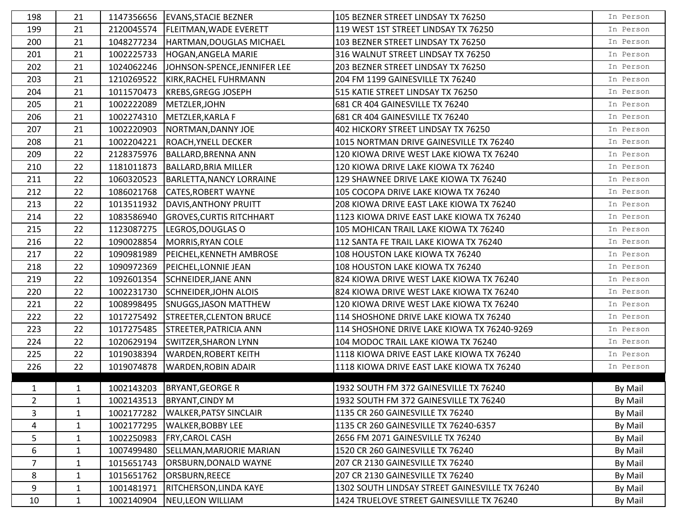| 198            | 21           | 1147356656 | <b>EVANS, STACIE BEZNER</b>     | 105 BEZNER STREET LINDSAY TX 76250             | In Person |
|----------------|--------------|------------|---------------------------------|------------------------------------------------|-----------|
| 199            | 21           | 2120045574 | <b>FLEITMAN, WADE EVERETT</b>   | 119 WEST 1ST STREET LINDSAY TX 76250           | In Person |
| 200            | 21           | 1048277234 | HARTMAN, DOUGLAS MICHAEL        | 103 BEZNER STREET LINDSAY TX 76250             | In Person |
| 201            | 21           | 1002225733 | HOGAN, ANGELA MARIE             | 316 WALNUT STREET LINDSAY TX 76250             | In Person |
| 202            | 21           | 1024062246 | JOHNSON-SPENCE, JENNIFER LEE    | 203 BEZNER STREET LINDSAY TX 76250             | In Person |
| 203            | 21           | 1210269522 | KIRK, RACHEL FUHRMANN           | 204 FM 1199 GAINESVILLE TX 76240               | In Person |
| 204            | 21           | 1011570473 | <b>KREBS, GREGG JOSEPH</b>      | 515 KATIE STREET LINDSAY TX 76250              | In Person |
| 205            | 21           | 1002222089 | METZLER, JOHN                   | 681 CR 404 GAINESVILLE TX 76240                | In Person |
| 206            | 21           | 1002274310 | METZLER, KARLA F                | 681 CR 404 GAINESVILLE TX 76240                | In Person |
| 207            | 21           | 1002220903 | NORTMAN, DANNY JOE              | 402 HICKORY STREET LINDSAY TX 76250            | In Person |
| 208            | 21           | 1002204221 | <b>ROACH, YNELL DECKER</b>      | 1015 NORTMAN DRIVE GAINESVILLE TX 76240        | In Person |
| 209            | 22           | 2128375976 | <b>BALLARD, BRENNA ANN</b>      | 120 KIOWA DRIVE WEST LAKE KIOWA TX 76240       | In Person |
| 210            | 22           | 1181011873 | <b>BALLARD, BRIA MILLER</b>     | 120 KIOWA DRIVE LAKE KIOWA TX 76240            | In Person |
| 211            | 22           | 1060320523 | <b>BARLETTA, NANCY LORRAINE</b> | 129 SHAWNEE DRIVE LAKE KIOWA TX 76240          | In Person |
| 212            | 22           | 1086021768 | <b>CATES, ROBERT WAYNE</b>      | 105 COCOPA DRIVE LAKE KIOWA TX 76240           | In Person |
| 213            | 22           | 1013511932 | DAVIS, ANTHONY PRUITT           | 208 KIOWA DRIVE EAST LAKE KIOWA TX 76240       | In Person |
| 214            | 22           | 1083586940 | <b>GROVES, CURTIS RITCHHART</b> | 1123 KIOWA DRIVE EAST LAKE KIOWA TX 76240      | In Person |
| 215            | 22           | 1123087275 | LEGROS, DOUGLAS O               | 105 MOHICAN TRAIL LAKE KIOWA TX 76240          | In Person |
| 216            | 22           | 1090028854 | MORRIS, RYAN COLE               | 112 SANTA FE TRAIL LAKE KIOWA TX 76240         | In Person |
| 217            | 22           | 1090981989 | PEICHEL, KENNETH AMBROSE        | 108 HOUSTON LAKE KIOWA TX 76240                | In Person |
| 218            | 22           | 1090972369 | PEICHEL, LONNIE JEAN            | 108 HOUSTON LAKE KIOWA TX 76240                | In Person |
| 219            | 22           | 1092601354 | <b>SCHNEIDER, JANE ANN</b>      | 824 KIOWA DRIVE WEST LAKE KIOWA TX 76240       | In Person |
| 220            | 22           | 1002231730 | <b>SCHNEIDER, JOHN ALOIS</b>    | 824 KIOWA DRIVE WEST LAKE KIOWA TX 76240       | In Person |
| 221            | 22           | 1008998495 | <b>SNUGGS, JASON MATTHEW</b>    | 120 KIOWA DRIVE WEST LAKE KIOWA TX 76240       | In Person |
| 222            | 22           | 1017275492 | <b>STREETER, CLENTON BRUCE</b>  | 114 SHOSHONE DRIVE LAKE KIOWA TX 76240         | In Person |
| 223            | 22           | 1017275485 | STREETER, PATRICIA ANN          | 114 SHOSHONE DRIVE LAKE KIOWA TX 76240-9269    | In Person |
| 224            | 22           | 1020629194 | <b>SWITZER, SHARON LYNN</b>     | 104 MODOC TRAIL LAKE KIOWA TX 76240            | In Person |
| 225            | 22           | 1019038394 | <b>WARDEN, ROBERT KEITH</b>     | 1118 KIOWA DRIVE EAST LAKE KIOWA TX 76240      | In Person |
| 226            | 22           | 1019074878 | <b>WARDEN, ROBIN ADAIR</b>      | 1118 KIOWA DRIVE EAST LAKE KIOWA TX 76240      | In Person |
|                |              |            |                                 |                                                |           |
| $\mathbf{1}$   | $\mathbf{1}$ |            | 1002143203   BRYANT, GEORGE R   | 1932 SOUTH FM 372 GAINESVILLE TX 76240         | By Mail   |
| 2              | 1            | 1002143513 | <b>BRYANT, CINDY M</b>          | 1932 SOUTH FM 372 GAINESVILLE TX 76240         | By Mail   |
| 3              | $\mathbf{1}$ | 1002177282 | <b>WALKER, PATSY SINCLAIR</b>   | 1135 CR 260 GAINESVILLE TX 76240               | By Mail   |
| 4              | $\mathbf{1}$ | 1002177295 | <b>WALKER, BOBBY LEE</b>        | 1135 CR 260 GAINESVILLE TX 76240-6357          | By Mail   |
| 5              | $\mathbf{1}$ | 1002250983 | <b>FRY, CAROL CASH</b>          | 2656 FM 2071 GAINESVILLE TX 76240              | By Mail   |
| 6              | $\mathbf{1}$ | 1007499480 | SELLMAN, MARJORIE MARIAN        | 1520 CR 260 GAINESVILLE TX 76240               | By Mail   |
| $\overline{7}$ | $\mathbf{1}$ | 1015651743 | ORSBURN, DONALD WAYNE           | 207 CR 2130 GAINESVILLE TX 76240               | By Mail   |
| 8              | 1            | 1015651762 | ORSBURN, REECE                  | 207 CR 2130 GAINESVILLE TX 76240               | By Mail   |
| 9              | $\mathbf{1}$ | 1001481971 | RITCHERSON, LINDA KAYE          | 1302 SOUTH LINDSAY STREET GAINESVILLE TX 76240 | By Mail   |
| 10             | $\mathbf{1}$ | 1002140904 | NEU, LEON WILLIAM               | 1424 TRUELOVE STREET GAINESVILLE TX 76240      | By Mail   |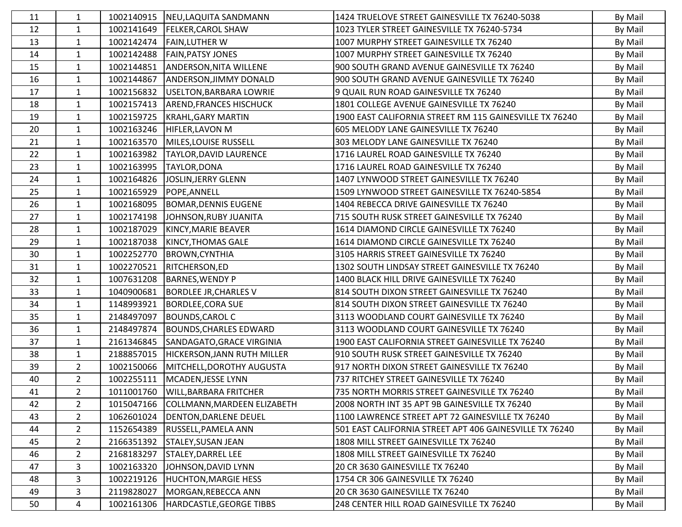| 11 | 1              | 1002140915 | NEU, LAQUITA SANDMANN               | 1424 TRUELOVE STREET GAINESVILLE TX 76240-5038          | By Mail |
|----|----------------|------------|-------------------------------------|---------------------------------------------------------|---------|
| 12 | $\mathbf{1}$   | 1002141649 | <b>FELKER, CAROL SHAW</b>           | 1023 TYLER STREET GAINESVILLE TX 76240-5734             | By Mail |
| 13 | $\mathbf{1}$   | 1002142474 | <b>FAIN, LUTHER W</b>               | 1007 MURPHY STREET GAINESVILLE TX 76240                 | By Mail |
| 14 | $\mathbf{1}$   | 1002142488 | <b>FAIN, PATSY JONES</b>            | 1007 MURPHY STREET GAINESVILLE TX 76240                 | By Mail |
| 15 | $\mathbf{1}$   | 1002144851 | <b>ANDERSON, NITA WILLENE</b>       | 900 SOUTH GRAND AVENUE GAINESVILLE TX 76240             | By Mail |
| 16 | $\mathbf{1}$   | 1002144867 | <b>ANDERSON, JIMMY DONALD</b>       | 900 SOUTH GRAND AVENUE GAINESVILLE TX 76240             | By Mail |
| 17 | 1              | 1002156832 | USELTON, BARBARA LOWRIE             | 9 QUAIL RUN ROAD GAINESVILLE TX 76240                   | By Mail |
| 18 | 1              | 1002157413 | <b>AREND, FRANCES HISCHUCK</b>      | 1801 COLLEGE AVENUE GAINESVILLE TX 76240                | By Mail |
| 19 | $\mathbf{1}$   | 1002159725 | <b>KRAHL, GARY MARTIN</b>           | 1900 EAST CALIFORNIA STREET RM 115 GAINESVILLE TX 76240 | By Mail |
| 20 | $\mathbf{1}$   | 1002163246 | <b>HIFLER, LAVON M</b>              | 605 MELODY LANE GAINESVILLE TX 76240                    | By Mail |
| 21 | $\mathbf{1}$   | 1002163570 | MILES, LOUISE RUSSELL               | 303 MELODY LANE GAINESVILLE TX 76240                    | By Mail |
| 22 | $\mathbf{1}$   | 1002163982 | <b>TAYLOR, DAVID LAURENCE</b>       | 1716 LAUREL ROAD GAINESVILLE TX 76240                   | By Mail |
| 23 | $\mathbf{1}$   | 1002163995 | TAYLOR, DONA                        | 1716 LAUREL ROAD GAINESVILLE TX 76240                   | By Mail |
| 24 | $\mathbf{1}$   | 1002164826 | JOSLIN, JERRY GLENN                 | 1407 LYNWOOD STREET GAINESVILLE TX 76240                | By Mail |
| 25 | $\mathbf{1}$   | 1002165929 | POPE, ANNELL                        | 1509 LYNWOOD STREET GAINESVILLE TX 76240-5854           | By Mail |
| 26 | $\mathbf{1}$   | 1002168095 | <b>BOMAR, DENNIS EUGENE</b>         | 1404 REBECCA DRIVE GAINESVILLE TX 76240                 | By Mail |
| 27 | $\mathbf{1}$   | 1002174198 | JOHNSON, RUBY JUANITA               | 715 SOUTH RUSK STREET GAINESVILLE TX 76240              | By Mail |
| 28 | $\mathbf{1}$   | 1002187029 | KINCY, MARIE BEAVER                 | 1614 DIAMOND CIRCLE GAINESVILLE TX 76240                | By Mail |
| 29 | $\mathbf{1}$   | 1002187038 | <b>KINCY, THOMAS GALE</b>           | 1614 DIAMOND CIRCLE GAINESVILLE TX 76240                | By Mail |
| 30 | $\mathbf{1}$   | 1002252770 | <b>BROWN, CYNTHIA</b>               | 3105 HARRIS STREET GAINESVILLE TX 76240                 | By Mail |
| 31 | $\mathbf{1}$   | 1002270521 | RITCHERSON, ED                      | 1302 SOUTH LINDSAY STREET GAINESVILLE TX 76240          | By Mail |
| 32 | $\mathbf{1}$   | 1007631208 | <b>BARNES, WENDY P</b>              | 1400 BLACK HILL DRIVE GAINESVILLE TX 76240              | By Mail |
| 33 | $\mathbf{1}$   | 1040900681 | <b>BORDLEE JR, CHARLES V</b>        | 814 SOUTH DIXON STREET GAINESVILLE TX 76240             | By Mail |
| 34 | $\mathbf{1}$   | 1148993921 | <b>BORDLEE, CORA SUE</b>            | 814 SOUTH DIXON STREET GAINESVILLE TX 76240             | By Mail |
| 35 | $\mathbf{1}$   | 2148497097 | <b>BOUNDS, CAROL C</b>              | 3113 WOODLAND COURT GAINESVILLE TX 76240                | By Mail |
| 36 | $\mathbf{1}$   | 2148497874 | <b>BOUNDS, CHARLES EDWARD</b>       | 3113 WOODLAND COURT GAINESVILLE TX 76240                | By Mail |
| 37 | $\mathbf{1}$   | 2161346845 | SANDAGATO, GRACE VIRGINIA           | 1900 EAST CALIFORNIA STREET GAINESVILLE TX 76240        | By Mail |
| 38 | $\mathbf{1}$   | 2188857015 | HICKERSON, JANN RUTH MILLER         | 910 SOUTH RUSK STREET GAINESVILLE TX 76240              | By Mail |
| 39 | $\overline{2}$ | 1002150066 | MITCHELL, DOROTHY AUGUSTA           | 917 NORTH DIXON STREET GAINESVILLE TX 76240             | By Mail |
| 40 | $\overline{2}$ | 1002255111 | MCADEN, JESSE LYNN                  | 737 RITCHEY STREET GAINESVILLE TX 76240                 | By Mail |
| 41 | $\overline{2}$ |            | 1011001760   WILL, BARBARA FRITCHER | 735 NORTH MORRIS STREET GAINESVILLE TX 76240            | By Mail |
| 42 | $\overline{2}$ | 1015047166 | COLLMANN, MARDEEN ELIZABETH         | 2008 NORTH INT 35 APT 9B GAINESVILLE TX 76240           | By Mail |
| 43 | $\overline{2}$ | 1062601024 | DENTON, DARLENE DEUEL               | 1100 LAWRENCE STREET APT 72 GAINESVILLE TX 76240        | By Mail |
| 44 | $\overline{a}$ | 1152654389 | <b>RUSSELL, PAMELA ANN</b>          | 501 EAST CALIFORNIA STREET APT 406 GAINESVILLE TX 76240 | By Mail |
| 45 | $\overline{2}$ | 2166351392 | <b>STALEY, SUSAN JEAN</b>           | 1808 MILL STREET GAINESVILLE TX 76240                   | By Mail |
| 46 | $\overline{2}$ | 2168183297 | <b>STALEY, DARREL LEE</b>           | 1808 MILL STREET GAINESVILLE TX 76240                   | By Mail |
| 47 | 3              | 1002163320 | JOHNSON, DAVID LYNN                 | 20 CR 3630 GAINESVILLE TX 76240                         | By Mail |
| 48 | 3              | 1002219126 | <b>HUCHTON, MARGIE HESS</b>         | 1754 CR 306 GAINESVILLE TX 76240                        | By Mail |
| 49 | 3              | 2119828027 | MORGAN, REBECCA ANN                 | 20 CR 3630 GAINESVILLE TX 76240                         | By Mail |
| 50 | 4              | 1002161306 | HARDCASTLE, GEORGE TIBBS            | 248 CENTER HILL ROAD GAINESVILLE TX 76240               | By Mail |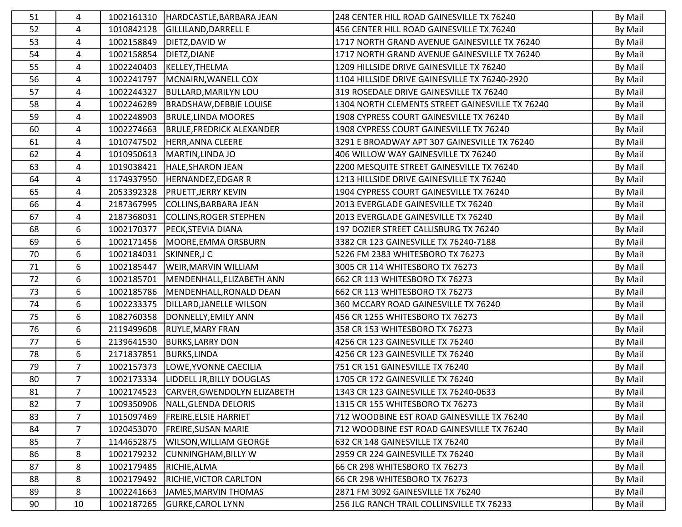| 51 | 4              | 1002161310 | HARDCASTLE, BARBARA JEAN               | 248 CENTER HILL ROAD GAINESVILLE TX 76240       | By Mail |
|----|----------------|------------|----------------------------------------|-------------------------------------------------|---------|
| 52 | 4              | 1010842128 | <b>GILLILAND, DARRELL E</b>            | 456 CENTER HILL ROAD GAINESVILLE TX 76240       | By Mail |
| 53 | 4              | 1002158849 | DIETZ, DAVID W                         | 1717 NORTH GRAND AVENUE GAINESVILLE TX 76240    | By Mail |
| 54 | 4              | 1002158854 | DIETZ, DIANE                           | 1717 NORTH GRAND AVENUE GAINESVILLE TX 76240    | By Mail |
| 55 | 4              | 1002240403 | KELLEY, THELMA                         | 1209 HILLSIDE DRIVE GAINESVILLE TX 76240        | By Mail |
| 56 | 4              | 1002241797 | MCNAIRN, WANELL COX                    | 1104 HILLSIDE DRIVE GAINESVILLE TX 76240-2920   | By Mail |
| 57 | 4              | 1002244327 | <b>BULLARD, MARILYN LOU</b>            | 319 ROSEDALE DRIVE GAINESVILLE TX 76240         | By Mail |
| 58 | 4              | 1002246289 | <b>BRADSHAW, DEBBIE LOUISE</b>         | 1304 NORTH CLEMENTS STREET GAINESVILLE TX 76240 | By Mail |
| 59 | 4              | 1002248903 | <b>BRULE, LINDA MOORES</b>             | 1908 CYPRESS COURT GAINESVILLE TX 76240         | By Mail |
| 60 | 4              | 1002274663 | <b>BRULE, FREDRICK ALEXANDER</b>       | 1908 CYPRESS COURT GAINESVILLE TX 76240         | By Mail |
| 61 | 4              | 1010747502 | HERR, ANNA CLEERE                      | 3291 E BROADWAY APT 307 GAINESVILLE TX 76240    | By Mail |
| 62 | 4              | 1010950613 | MARTIN, LINDA JO                       | 406 WILLOW WAY GAINESVILLE TX 76240             | By Mail |
| 63 | 4              | 1019038421 | <b>HALE, SHARON JEAN</b>               | 2200 MESQUITE STREET GAINESVILLE TX 76240       | By Mail |
| 64 | 4              | 1174937950 | <b>HERNANDEZ, EDGAR R</b>              | 1213 HILLSIDE DRIVE GAINESVILLE TX 76240        | By Mail |
| 65 | 4              | 2053392328 | <b>PRUETT, JERRY KEVIN</b>             | 1904 CYPRESS COURT GAINESVILLE TX 76240         | By Mail |
| 66 | 4              | 2187367995 | COLLINS, BARBARA JEAN                  | 2013 EVERGLADE GAINESVILLE TX 76240             | By Mail |
| 67 | 4              | 2187368031 | <b>COLLINS, ROGER STEPHEN</b>          | 2013 EVERGLADE GAINESVILLE TX 76240             | By Mail |
| 68 | 6              | 1002170377 | PECK, STEVIA DIANA                     | 197 DOZIER STREET CALLISBURG TX 76240           | By Mail |
| 69 | 6              | 1002171456 | MOORE, EMMA ORSBURN                    | 3382 CR 123 GAINESVILLE TX 76240-7188           | By Mail |
| 70 | 6              | 1002184031 | SKINNER, JC                            | 5226 FM 2383 WHITESBORO TX 76273                | By Mail |
| 71 | 6              | 1002185447 | WEIR, MARVIN WILLIAM                   | 3005 CR 114 WHITESBORO TX 76273                 | By Mail |
| 72 | 6              | 1002185701 | MENDENHALL, ELIZABETH ANN              | 662 CR 113 WHITESBORO TX 76273                  | By Mail |
| 73 | 6              | 1002185786 | MENDENHALL, RONALD DEAN                | 662 CR 113 WHITESBORO TX 76273                  | By Mail |
| 74 | 6              | 1002233375 | DILLARD, JANELLE WILSON                | 360 MCCARY ROAD GAINESVILLE TX 76240            | By Mail |
| 75 | 6              | 1082760358 | DONNELLY, EMILY ANN                    | 456 CR 1255 WHITESBORO TX 76273                 | By Mail |
| 76 | 6              | 2119499608 | <b>RUYLE, MARY FRAN</b>                | 358 CR 153 WHITESBORO TX 76273                  | By Mail |
| 77 | 6              | 2139641530 | <b>BURKS, LARRY DON</b>                | 4256 CR 123 GAINESVILLE TX 76240                | By Mail |
| 78 | 6              | 2171837851 | <b>BURKS,LINDA</b>                     | 4256 CR 123 GAINESVILLE TX 76240                | By Mail |
| 79 | $\overline{7}$ | 1002157373 | LOWE, YVONNE CAECILIA                  | 751 CR 151 GAINESVILLE TX 76240                 | By Mail |
| 80 | $\overline{7}$ | 1002173334 | LIDDELL JR, BILLY DOUGLAS              | 1705 CR 172 GAINESVILLE TX 76240                | By Mail |
| 81 | $\overline{7}$ |            | 1002174523 CARVER, GWENDOLYN ELIZABETH | 1343 CR 123 GAINESVILLE TX 76240-0633           | By Mail |
| 82 | $\overline{7}$ | 1009350906 | NALL, GLENDA DELORIS                   | 1315 CR 155 WHITESBORO TX 76273                 | By Mail |
| 83 | $\overline{7}$ | 1015097469 | <b>FREIRE, ELSIE HARRIET</b>           | 712 WOODBINE EST ROAD GAINESVILLE TX 76240      | By Mail |
| 84 | $\overline{7}$ | 1020453070 | <b>FREIRE, SUSAN MARIE</b>             | 712 WOODBINE EST ROAD GAINESVILLE TX 76240      | By Mail |
| 85 | $\overline{7}$ | 1144652875 | WILSON, WILLIAM GEORGE                 | 632 CR 148 GAINESVILLE TX 76240                 | By Mail |
| 86 | 8              | 1002179232 | <b>CUNNINGHAM, BILLY W</b>             | 2959 CR 224 GAINESVILLE TX 76240                | By Mail |
| 87 | 8              | 1002179485 | RICHIE, ALMA                           | 66 CR 298 WHITESBORO TX 76273                   | By Mail |
| 88 | 8              | 1002179492 | <b>RICHIE, VICTOR CARLTON</b>          | 66 CR 298 WHITESBORO TX 76273                   | By Mail |
| 89 | 8              | 1002241663 | JAMES, MARVIN THOMAS                   | 2871 FM 3092 GAINESVILLE TX 76240               | By Mail |
| 90 | 10             | 1002187265 | <b>GURKE, CAROL LYNN</b>               | 256 JLG RANCH TRAIL COLLINSVILLE TX 76233       | By Mail |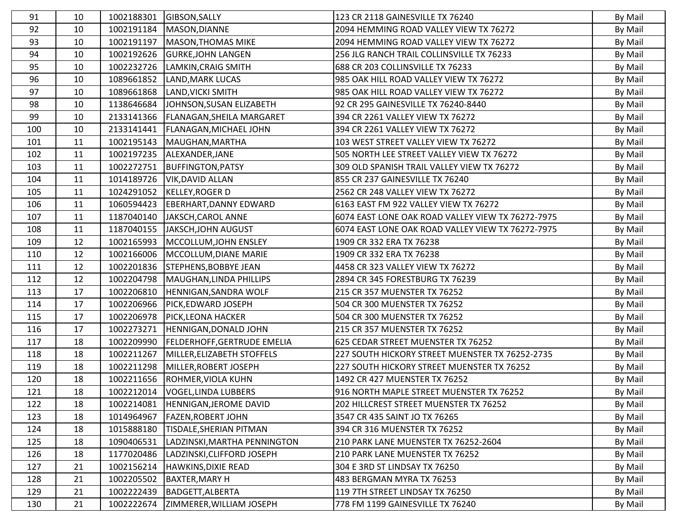| 91  | 10 | 1002188301 | GIBSON, SALLY                     | 123 CR 2118 GAINESVILLE TX 76240                  | By Mail |
|-----|----|------------|-----------------------------------|---------------------------------------------------|---------|
| 92  | 10 | 1002191184 | MASON, DIANNE                     | 2094 HEMMING ROAD VALLEY VIEW TX 76272            | By Mail |
| 93  | 10 | 1002191197 | <b>MASON, THOMAS MIKE</b>         | 2094 HEMMING ROAD VALLEY VIEW TX 76272            | By Mail |
| 94  | 10 | 1002192626 | <b>GURKE, JOHN LANGEN</b>         | 256 JLG RANCH TRAIL COLLINSVILLE TX 76233         | By Mail |
| 95  | 10 | 1002232726 | LAMKIN, CRAIG SMITH               | 688 CR 203 COLLINSVILLE TX 76233                  | By Mail |
| 96  | 10 | 1089661852 | <b>LAND, MARK LUCAS</b>           | 985 OAK HILL ROAD VALLEY VIEW TX 76272            | By Mail |
| 97  | 10 | 1089661868 | LAND, VICKI SMITH                 | 985 OAK HILL ROAD VALLEY VIEW TX 76272            | By Mail |
| 98  | 10 | 1138646684 | JOHNSON, SUSAN ELIZABETH          | 92 CR 295 GAINESVILLE TX 76240-8440               | By Mail |
| 99  | 10 | 2133141366 | FLANAGAN, SHEILA MARGARET         | 394 CR 2261 VALLEY VIEW TX 76272                  | By Mail |
| 100 | 10 | 2133141441 | <b>FLANAGAN, MICHAEL JOHN</b>     | 394 CR 2261 VALLEY VIEW TX 76272                  | By Mail |
| 101 | 11 | 1002195143 | MAUGHAN, MARTHA                   | 103 WEST STREET VALLEY VIEW TX 76272              | By Mail |
| 102 | 11 | 1002197235 | ALEXANDER, JANE                   | 505 NORTH LEE STREET VALLEY VIEW TX 76272         | By Mail |
| 103 | 11 | 1002272751 | <b>BUFFINGTON, PATSY</b>          | 309 OLD SPANISH TRAIL VALLEY VIEW TX 76272        | By Mail |
| 104 | 11 | 1014189726 | <b>VIK, DAVID ALLAN</b>           | 855 CR 237 GAINESVILLE TX 76240                   | By Mail |
| 105 | 11 | 1024291052 | <b>KELLEY, ROGER D</b>            | 2562 CR 248 VALLEY VIEW TX 76272                  | By Mail |
| 106 | 11 | 1060594423 | <b>EBERHART, DANNY EDWARD</b>     | 6163 EAST FM 922 VALLEY VIEW TX 76272             | By Mail |
| 107 | 11 | 1187040140 | JAKSCH, CAROL ANNE                | 6074 EAST LONE OAK ROAD VALLEY VIEW TX 76272-7975 | By Mail |
| 108 | 11 | 1187040155 | JAKSCH, JOHN AUGUST               | 6074 EAST LONE OAK ROAD VALLEY VIEW TX 76272-7975 | By Mail |
| 109 | 12 | 1002165993 | MCCOLLUM, JOHN ENSLEY             | 1909 CR 332 ERA TX 76238                          | By Mail |
| 110 | 12 | 1002166006 | MCCOLLUM, DIANE MARIE             | 1909 CR 332 ERA TX 76238                          | By Mail |
| 111 | 12 | 1002201836 | STEPHENS, BOBBYE JEAN             | 4458 CR 323 VALLEY VIEW TX 76272                  | By Mail |
| 112 | 12 | 1002204798 | MAUGHAN, LINDA PHILLIPS           | 2894 CR 345 FORESTBURG TX 76239                   | By Mail |
| 113 | 17 | 1002206810 | HENNIGAN, SANDRA WOLF             | 215 CR 357 MUENSTER TX 76252                      | By Mail |
| 114 | 17 | 1002206966 | PICK, EDWARD JOSEPH               | 504 CR 300 MUENSTER TX 76252                      | By Mail |
| 115 | 17 | 1002206978 | PICK, LEONA HACKER                | 504 CR 300 MUENSTER TX 76252                      | By Mail |
| 116 | 17 | 1002273271 | HENNIGAN, DONALD JOHN             | 215 CR 357 MUENSTER TX 76252                      | By Mail |
| 117 | 18 | 1002209990 | FELDERHOFF, GERTRUDE EMELIA       | 625 CEDAR STREET MUENSTER TX 76252                | By Mail |
| 118 | 18 | 1002211267 | MILLER, ELIZABETH STOFFELS        | 227 SOUTH HICKORY STREET MUENSTER TX 76252-2735   | By Mail |
| 119 | 18 | 1002211298 | MILLER, ROBERT JOSEPH             | 227 SOUTH HICKORY STREET MUENSTER TX 76252        | By Mail |
| 120 | 18 | 1002211656 | ROHMER, VIOLA KUHN                | 1492 CR 427 MUENSTER TX 76252                     | By Mail |
| 121 | 18 |            | 1002212014   VOGEL, LINDA LUBBERS | 916 NORTH MAPLE STREET MUENSTER TX 76252          | By Mail |
| 122 | 18 | 1002214081 | <b>HENNIGAN, JEROME DAVID</b>     | 202 HILLCREST STREET MUENSTER TX 76252            | By Mail |
| 123 | 18 | 1014964967 | <b>FAZEN, ROBERT JOHN</b>         | 3547 CR 435 SAINT JO TX 76265                     | By Mail |
| 124 | 18 | 1015888180 | TISDALE, SHERIAN PITMAN           | 394 CR 316 MUENSTER TX 76252                      | By Mail |
| 125 | 18 | 1090406531 | LADZINSKI, MARTHA PENNINGTON      | 210 PARK LANE MUENSTER TX 76252-2604              | By Mail |
| 126 | 18 | 1177020486 | LADZINSKI, CLIFFORD JOSEPH        | 210 PARK LANE MUENSTER TX 76252                   | By Mail |
| 127 | 21 | 1002156214 | <b>HAWKINS, DIXIE READ</b>        | 304 E 3RD ST LINDSAY TX 76250                     | By Mail |
| 128 | 21 | 1002205502 | <b>BAXTER, MARY H</b>             | 483 BERGMAN MYRA TX 76253                         | By Mail |
| 129 | 21 | 1002222439 | BADGETT, ALBERTA                  | 119 7TH STREET LINDSAY TX 76250                   | By Mail |
| 130 | 21 | 1002222674 | ZIMMERER, WILLIAM JOSEPH          | 778 FM 1199 GAINESVILLE TX 76240                  | By Mail |